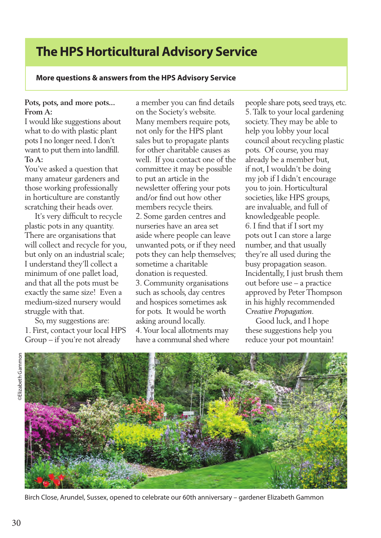# **The HPS Horticultural Advisory Service**

## **More questions & answers from the HPS Advisory Service**

#### **Pots, pots, and more pots... From A:**

I would like suggestions about what to do with plastic plant pots I no longer need. I don't want to put them into landfill. **To A:**

You've asked a question that many amateur gardeners and those working professionally in horticulture are constantly scratching their heads over.

 It's very difficult to recycle plastic pots in any quantity. There are organisations that will collect and recycle for you, but only on an industrial scale; I understand they'll collect a minimum of one pallet load, and that all the pots must be exactly the same size! Even a medium-sized nursery would struggle with that.

 So, my suggestions are: 1. First, contact your local HPS Group – if you're not already

a member you can find details on the Society's website. Many members require pots, not only for the HPS plant sales but to propagate plants for other charitable causes as well. If you contact one of the committee it may be possible to put an article in the newsletter offering your pots and/or find out how other members recycle theirs. 2. Some garden centres and nurseries have an area set aside where people can leave unwanted pots, or if they need pots they can help themselves; sometime a charitable donation is requested. 3. Community organisations such as schools, day centres and hospices sometimes ask for pots. It would be worth asking around locally. 4. Your local allotments may have a communal shed where

people share pots, seed trays, etc. 5. Talk to your local gardening society. They may be able to help you lobby your local council about recycling plastic pots. Of course, you may already be a member but, if not, I wouldn't be doing my job if I didn't encourage you to join. Horticultural societies, like HPS groups, are invaluable, and full of knowledgeable people. 6. I find that if I sort my pots out I can store a large number, and that usually they're all used during the busy propagation season. Incidentally, I just brush them out before use – a practice approved by Peter Thompson in his highly recommended *Creative Propagation*.

 Good luck, and I hope these suggestions help you reduce your pot mountain!



Birch Close, Arundel, Sussex, opened to celebrate our 60th anniversary – gardener Elizabeth Gammon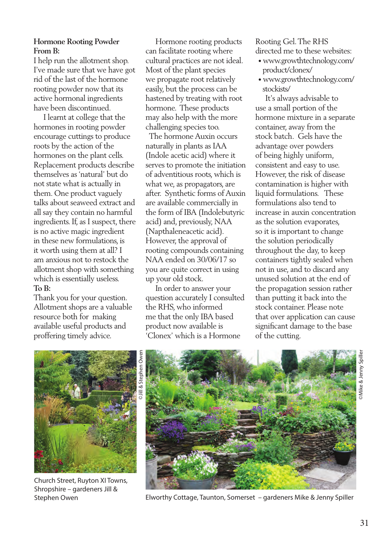### **Hormone Rooting Powder From B:**

I help run the allotment shop. I've made sure that we have got rid of the last of the hormone rooting powder now that its active hormonal ingredients have been discontinued.

 I learnt at college that the hormones in rooting powder encourage cuttings to produce roots by the action of the hormones on the plant cells. Replacement products describe themselves as 'natural' but do not state what is actually in them. One product vaguely talks about seaweed extract and all say they contain no harmful ingredients. If, as I suspect, there is no active magic ingredient in these new formulations, is it worth using them at all? I am anxious not to restock the allotment shop with something which is essentially useless. **To B:** 

Thank you for your question. Allotment shops are a valuable resource both for making available useful products and proffering timely advice.

 Hormone rooting products can facilitate rooting where cultural practices are not ideal. Most of the plant species we propagate root relatively easily, but the process can be hastened by treating with root hormone. These products may also help with the more challenging species too.

 The hormone Auxin occurs naturally in plants as IAA (Indole acetic acid) where it serves to promote the initiation of adventitious roots, which is what we, as propagators, are after. Synthetic forms of Auxin are available commercially in the form of IBA (Indolebutyric acid) and, previously, NAA (Napthaleneacetic acid). However, the approval of rooting compounds containing NAA ended on 30/06/17 so you are quite correct in using up your old stock.

 In order to answer your question accurately I consulted the RHS, who informed me that the only IBA based product now available is 'Clonex' which is a Hormone

Rooting Gel. The RHS directed me to these websites:

- www.growthtechnology.com/ product/clonex/
- www.growthtechnology.com/ stockists/

 It's always advisable to use a small portion of the hormone mixture in a separate container, away from the stock batch. Gels have the advantage over powders of being highly uniform, consistent and easy to use. However, the risk of disease contamination is higher with liquid formulations. These formulations also tend to increase in auxin concentration as the solution evaporates, so it is important to change the solution periodically throughout the day, to keep containers tightly sealed when not in use, and to discard any unused solution at the end of the propagation session rather than putting it back into the stock container. Please note that over application can cause significant damage to the base of the cutting.



Church Street, Ruyton XI Towns, Shropshire – gardeners Jill &